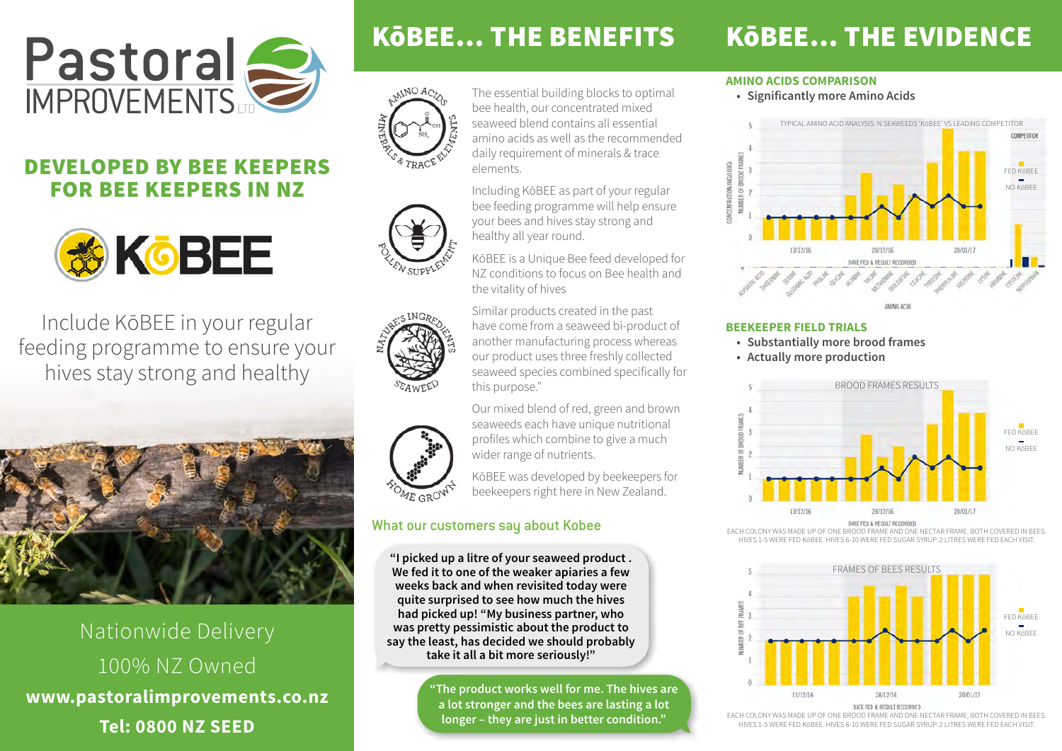

## DEVELOPED BY BEE KEEPERS FOR BEE KEEPERS IN NZ



Include KōBEE in your regular feeding programme to ensure your hives stay strong and healthy



Nationwide Delivery 100% NZ Owned **www.pastoralimprovements.co.nz Tel: 0800 NZ SEED**

elements.

the vitality of hives

this purpose."

The essential building blocks to optimal bee health, our concentrated mixed seaweed blend contains all essential amino acids as well as the recommended daily requirement of minerals & trace









seaweeds each have unique nutritional profiles which combine to give a much wider range of nutrients. KōBEE was developed by beekeepers for

beekeepers right here in New Zealand.

Our mixed blend of red, green and brown

### What our customers say about Kobee

**"I picked up a litre of your seaweed product . We fed it to one of the weaker apiaries a few weeks back and when revisited today were quite surprised to see how much the hives had picked up! "My business partner, who was pretty pessimistic about the product to say the least, has decided we should probably take it all a bit more seriously!"**

> **"The product works well for me. The hives are a lot stronger and the bees are lasting a lot longer – they are just in better condition."**

# KōBEE… THE BENEFITS KōBEE… THE EVIDENCE

#### **AMINO ACIDS COMPARISON**

**• Significantly more Amino Acids**



#### **BEEKEEPER FIELD TRIALS**

- **• Substantially more brood frames**
- **• Actually more production**



DATE FED & RESULT RECORDED

EACH COLONY WAS MADE UP OF ONE BROOD FRAME AND ONE NECTAR FRAME. BOTH COVERED IN BEES HIVES 1-5 WERE FED KōBEE. HIVES 6-10 WERE FED SUGAR SYRUP. 2 LITRES WERE FED EACH VISIT.



EACH COLONY WAS MADE UP OF ONE BROOD FRAME AND ONE NECTAR FRAME, BOTH COVERED IN BEES. HIVES 1-5 WERE FED KōBEE. HIVES 6-10 WERE FED SUGAR SYRUP. 2 LITRES WERE FED EACH VISIT.